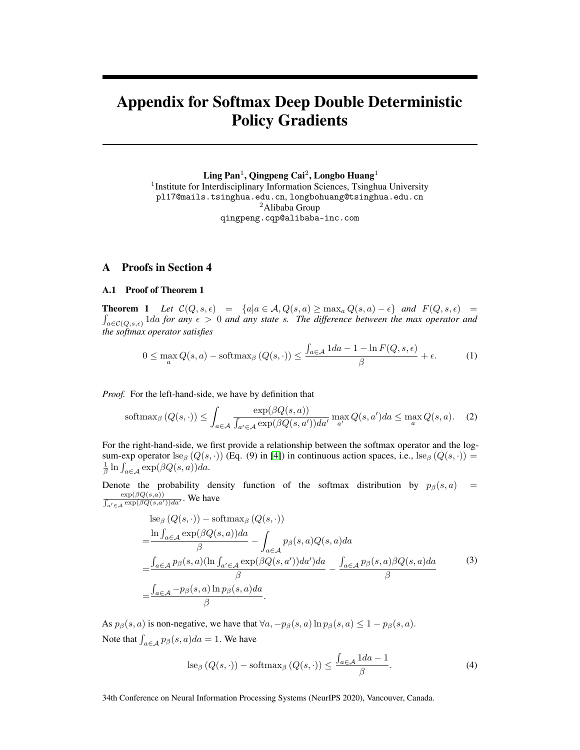# Appendix for Softmax Deep Double Deterministic Policy Gradients

 $\rm{Ling~Pan^1},$   $\rm{Qingpeng~Cai^2},$   $\rm{Longbo~Huang^1}$ 

<sup>1</sup>Institute for Interdisciplinary Information Sciences, Tsinghua University pl17@mails.tsinghua.edu.cn, longbohuang@tsinghua.edu.cn <sup>2</sup>Alibaba Group qingpeng.cqp@alibaba-inc.com

# A Proofs in Section 4

#### A.1 Proof of Theorem 1

**Theorem 1** Let  $C(Q, s, \epsilon) = \{a | a \in A, Q(s, a) \ge \max_a Q(s, a) - \epsilon\}$  and  $F(Q, s, \epsilon) =$  $\int_{a \in \mathcal{C}(Q,s,\epsilon)} 1 da$  *for any*  $\epsilon > 0$  *and any state s. The difference between the max operator and the softmax operator satisfies*

<span id="page-0-1"></span>
$$
0 \le \max_{a} Q(s, a) - \text{softmax}_{\beta} \left( Q(s, \cdot) \right) \le \frac{\int_{a \in \mathcal{A}} 1 da - 1 - \ln F(Q, s, \epsilon)}{\beta} + \epsilon.
$$
 (1)

*Proof.* For the left-hand-side, we have by definition that

$$
\text{softmax}_{\beta}\left(Q(s,\cdot)\right) \le \int_{a \in \mathcal{A}} \frac{\exp(\beta Q(s,a))}{\int_{a' \in \mathcal{A}} \exp(\beta Q(s,a'))da'} \max_{a'} Q(s,a')da \le \max_{a} Q(s,a). \tag{2}
$$

For the right-hand-side, we first provide a relationship between the softmax operator and the logsum-exp operator lse<sub>β</sub> ( $Q(s, \cdot)$ ) (Eq. (9) in [\[4\]](#page-6-0)) in continuous action spaces, i.e., lse<sub>β</sub> ( $Q(s, \cdot)$ ) =  $\frac{1}{\beta} \ln \int_{a \in \mathcal{A}} \exp(\beta Q(s, a)) da.$ 

Denote the probability density function of the softmax distribution by  $p_\beta(s, a)$  =  $\frac{\exp(\beta Q(s,a))}{\int_{a' \in \mathcal{A}} \exp(\beta Q(s,a'))da'}$ . We have

<span id="page-0-2"></span>
$$
\begin{split}\n&\text{d}s_{\beta}\left(Q(s,\cdot)\right) - \text{softmax}_{\beta}\left(Q(s,\cdot)\right) \\
&= \frac{\ln \int_{a\in\mathcal{A}} \exp(\beta Q(s,a))da}{\beta} - \int_{a\in\mathcal{A}} p_{\beta}(s,a)Q(s,a)da \\
&= \frac{\int_{a\in\mathcal{A}} p_{\beta}(s,a) (\ln \int_{a'\in\mathcal{A}} \exp(\beta Q(s,a'))da')da}{\beta} - \frac{\int_{a\in\mathcal{A}} p_{\beta}(s,a)\beta Q(s,a)da}{\beta} \\
&= \frac{\int_{a\in\mathcal{A}} - p_{\beta}(s,a) \ln p_{\beta}(s,a)da}{\beta}.\n\end{split}
$$
\n(3)

As  $p_\beta(s, a)$  is non-negative, we have that  $\forall a, -p_\beta(s, a) \ln p_\beta(s, a) \leq 1 - p_\beta(s, a)$ . Note that  $\int_{a \in \mathcal{A}} p_{\beta}(s, a) da = 1$ . We have

<span id="page-0-0"></span>
$$
\operatorname{lse}_{\beta}(Q(s,\cdot)) - \operatorname{softmax}_{\beta}(Q(s,\cdot)) \le \frac{\int_{a \in \mathcal{A}} 1 da - 1}{\beta}.
$$
 (4)

34th Conference on Neural Information Processing Systems (NeurIPS 2020), Vancouver, Canada.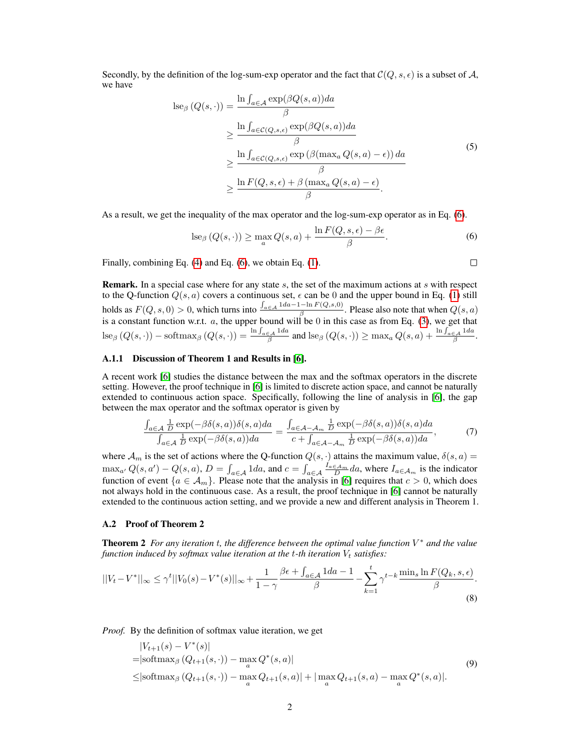Secondly, by the definition of the log-sum-exp operator and the fact that  $\mathcal{C}(Q, s, \epsilon)$  is a subset of A, we have

$$
\begin{split} \operatorname{lse}_{\beta} \left( Q(s, \cdot) \right) &= \frac{\ln \int_{a \in \mathcal{A}} \exp(\beta Q(s, a)) da}{\beta} \\ &\geq \frac{\ln \int_{a \in \mathcal{C}(Q, s, \epsilon)} \exp(\beta Q(s, a)) da}{\beta} \\ &\geq \frac{\ln \int_{a \in \mathcal{C}(Q, s, \epsilon)} \exp\left(\beta (\max_{a} Q(s, a) - \epsilon)\right) da}{\beta} \\ &\geq \frac{\ln F(Q, s, \epsilon) + \beta (\max_{a} Q(s, a) - \epsilon)}{\beta}. \end{split} \tag{5}
$$

As a result, we get the inequality of the max operator and the log-sum-exp operator as in Eq. [\(6\)](#page-1-0).

$$
\operatorname{lse}_{\beta}(Q(s,\cdot)) \ge \max_{a} Q(s,a) + \frac{\ln F(Q,s,\epsilon) - \beta \epsilon}{\beta}.
$$
 (6)

Finally, combining Eq. [\(4\)](#page-0-0) and Eq. [\(6\)](#page-1-0), we obtain Eq. [\(1\)](#page-0-1).

**Remark.** In a special case where for any state s, the set of the maximum actions at s with respect to the Q-function  $Q(s, a)$  covers a continuous set,  $\epsilon$  can be 0 and the upper bound in Eq. [\(1\)](#page-0-1) still holds as  $F(Q, s, 0) > 0$ , which turns into  $\frac{\int_{a \in A} 1 da - 1 - \ln F(Q, s, 0)}{\beta}$ . Please also note that when  $Q(s, a)$ is a constant function w.r.t. a, the upper bound will be 0 in this case as from Eq. [\(3\)](#page-0-2), we get that  $\text{lse}_{\beta}\left(Q(s,\cdot)\right) - \text{softmax}_{\beta}\left(Q(s,\cdot)\right) = \frac{\ln \int_{a \in \mathcal{A}} 1 da}{\beta} \text{ and } \text{lse}_{\beta}\left(Q(s,\cdot)\right) \ge \max_{a} Q(s,a) + \frac{\ln \int_{a \in \mathcal{A}} 1 da}{\beta}.$ 

# A.1.1 Discussion of Theorem 1 and Results in [\[6\]](#page-6-1).

A recent work [\[6\]](#page-6-1) studies the distance between the max and the softmax operators in the discrete setting. However, the proof technique in [\[6\]](#page-6-1) is limited to discrete action space, and cannot be naturally extended to continuous action space. Specifically, following the line of analysis in [\[6\]](#page-6-1), the gap between the max operator and the softmax operator is given by

$$
\frac{\int_{a\in\mathcal{A}}\frac{1}{D}\exp(-\beta\delta(s,a))\delta(s,a)da}{\int_{a\in\mathcal{A}}\frac{1}{D}\exp(-\beta\delta(s,a))da} = \frac{\int_{a\in\mathcal{A}-\mathcal{A}_m}\frac{1}{D}\exp(-\beta\delta(s,a))\delta(s,a)da}{c + \int_{a\in\mathcal{A}-\mathcal{A}_m}\frac{1}{D}\exp(-\beta\delta(s,a))da},\tag{7}
$$

where  $\mathcal{A}_m$  is the set of actions where the Q-function  $Q(s, \cdot)$  attains the maximum value,  $\delta(s, a)$  =  $\max_{a'} Q(s, a') - Q(s, a), D = \int_{a \in \mathcal{A}} 1 da$ , and  $c = \int_{a \in \mathcal{A}} \frac{I_{a \in \mathcal{A}_m}}{D} da$ , where  $I_{a \in \mathcal{A}_m}$  is the indicator function of event  $\{a \in A_m\}$ . Please note that the analysis in [\[6\]](#page-6-1) requires that  $c > 0$ , which does not always hold in the continuous case. As a result, the proof technique in [\[6\]](#page-6-1) cannot be naturally extended to the continuous action setting, and we provide a new and different analysis in Theorem 1.

#### A.2 Proof of Theorem 2

Theorem 2 *For any iteration* t*, the difference between the optimal value function* V <sup>∗</sup> *and the value function induced by softmax value iteration at the t-th iteration*  $V_t$  *satisfies:* 

$$
||V_t - V^*||_{\infty} \le \gamma^t ||V_0(s) - V^*(s)||_{\infty} + \frac{1}{1 - \gamma} \frac{\beta \epsilon + \int_{a \in \mathcal{A}} 1 da - 1}{\beta} - \sum_{k=1}^t \gamma^{t-k} \frac{\min_s \ln F(Q_k, s, \epsilon)}{\beta}.
$$
\n
$$
(8)
$$

*Proof.* By the definition of softmax value iteration, we get

$$
|V_{t+1}(s) - V^*(s)|
$$
  
=|softmax<sub>β</sub> (Q<sub>t+1</sub>(s, ·)) – max<sub>a</sub> Q<sup>\*</sup>(s, a)|  
≤|softmax<sub>β</sub> (Q<sub>t+1</sub>(s, ·)) – max<sub>a</sub> Q<sub>t+1</sub>(s, a)| + | max<sub>a</sub> Q<sub>t+1</sub>(s, a) – max<sub>a</sub> Q<sup>\*</sup>(s, a)|. (9)

<span id="page-1-0"></span>
$$
\qquad \qquad \Box
$$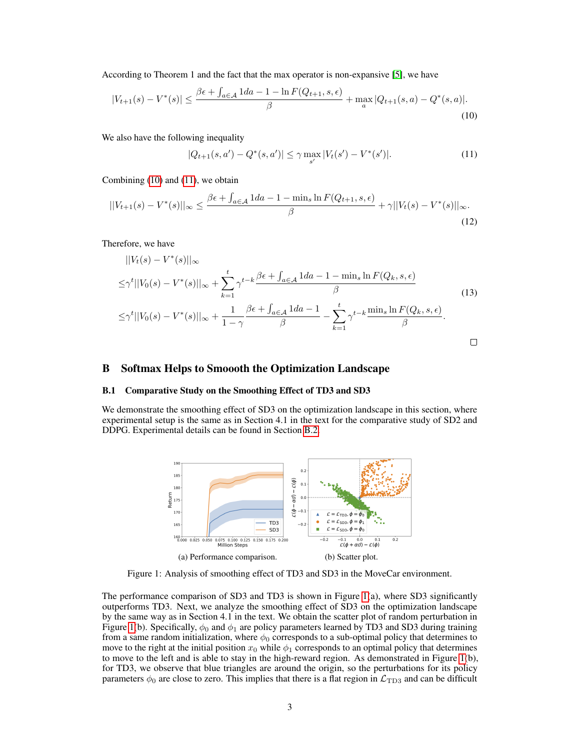According to Theorem 1 and the fact that the max operator is non-expansive [\[5\]](#page-6-2), we have

$$
|V_{t+1}(s) - V^*(s)| \le \frac{\beta \epsilon + \int_{a \in \mathcal{A}} 1 da - 1 - \ln F(Q_{t+1}, s, \epsilon)}{\beta} + \max_{a} |Q_{t+1}(s, a) - Q^*(s, a)|. \tag{10}
$$

We also have the following inequality

<span id="page-2-1"></span><span id="page-2-0"></span>
$$
|Q_{t+1}(s,a') - Q^*(s,a')| \le \gamma \max_{s'} |V_t(s') - V^*(s')|.
$$
 (11)

Combining [\(10\)](#page-2-0) and [\(11\)](#page-2-1), we obtain

$$
||V_{t+1}(s) - V^*(s)||_{\infty} \le \frac{\beta \epsilon + \int_{a \in \mathcal{A}} 1 da - 1 - \min_{s} \ln F(Q_{t+1}, s, \epsilon)}{\beta} + \gamma ||V_t(s) - V^*(s)||_{\infty}.
$$
\n(12)

Therefore, we have

$$
||V_t(s) - V^*(s)||_{\infty}
$$
  
\n
$$
\leq \gamma^t ||V_0(s) - V^*(s)||_{\infty} + \sum_{k=1}^t \gamma^{t-k} \frac{\beta \epsilon + \int_{a \in \mathcal{A}} 1 da - 1 - \min_s \ln F(Q_k, s, \epsilon)}{\beta}
$$
  
\n
$$
\leq \gamma^t ||V_0(s) - V^*(s)||_{\infty} + \frac{1}{1 - \gamma} \frac{\beta \epsilon + \int_{a \in \mathcal{A}} 1 da - 1}{\beta} - \sum_{k=1}^t \gamma^{t-k} \frac{\min_s \ln F(Q_k, s, \epsilon)}{\beta}.
$$
\n(13)

## B Softmax Helps to Smoooth the Optimization Landscape

# B.1 Comparative Study on the Smoothing Effect of TD3 and SD3

<span id="page-2-2"></span>We demonstrate the smoothing effect of SD3 on the optimization landscape in this section, where experimental setup is the same as in Section 4.1 in the text for the comparative study of SD2 and DDPG. Experimental details can be found in Section [B.2.](#page-3-0)



Figure 1: Analysis of smoothing effect of TD3 and SD3 in the MoveCar environment.

The performance comparison of SD3 and TD3 is shown in Figure [1\(](#page-2-2)a), where SD3 significantly outperforms TD3. Next, we analyze the smoothing effect of SD3 on the optimization landscape by the same way as in Section 4.1 in the text. We obtain the scatter plot of random perturbation in Figure [1\(](#page-2-2)b). Specifically,  $\phi_0$  and  $\phi_1$  are policy parameters learned by TD3 and SD3 during training from a same random initialization, where  $\phi_0$  corresponds to a sub-optimal policy that determines to move to the right at the initial position  $x_0$  while  $\phi_1$  corresponds to an optimal policy that determines to move to the left and is able to stay in the high-reward region. As demonstrated in Figure [1\(](#page-2-2)b), for TD3, we observe that blue triangles are around the origin, so the perturbations for its policy parameters  $\phi_0$  are close to zero. This implies that there is a flat region in  $\mathcal{L}_{\text{TD3}}$  and can be difficult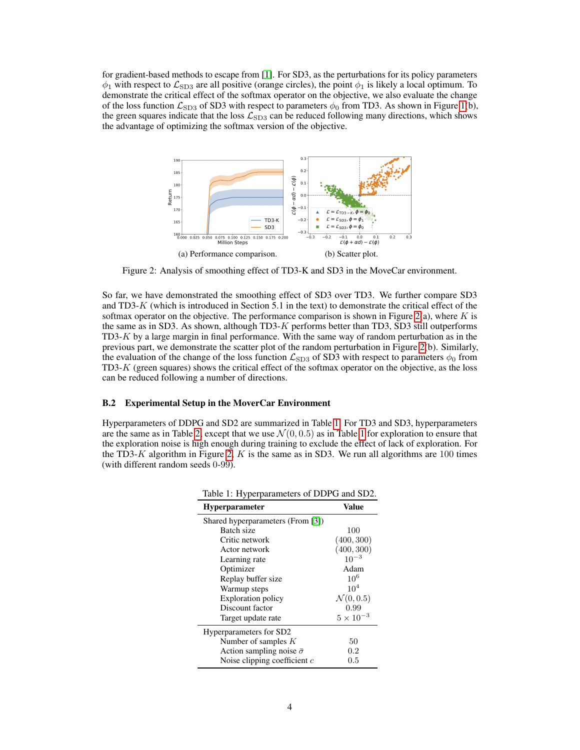for gradient-based methods to escape from [\[1\]](#page-6-3). For SD3, as the perturbations for its policy parameters  $\phi_1$  with respect to  $\mathcal{L}_{SD3}$  are all positive (orange circles), the point  $\phi_1$  is likely a local optimum. To demonstrate the critical effect of the softmax operator on the objective, we also evaluate the change of the loss function  $\mathcal{L}_{SD3}$  of SD3 with respect to parameters  $\phi_0$  from TD3. As shown in Figure [1\(](#page-2-2)b), the green squares indicate that the loss  $\mathcal{L}_{SD3}$  can be reduced following many directions, which shows the advantage of optimizing the softmax version of the objective.

<span id="page-3-1"></span>

Figure 2: Analysis of smoothing effect of TD3-K and SD3 in the MoveCar environment.

So far, we have demonstrated the smoothing effect of SD3 over TD3. We further compare SD3 and TD3- $K$  (which is introduced in Section 5.1 in the text) to demonstrate the critical effect of the softmax operator on the objective. The performance comparison is shown in Figure [2\(](#page-3-1)a), where  $K$  is the same as in SD3. As shown, although TD3-K performs better than TD3, SD3 still outperforms  $TD3-K$  by a large margin in final performance. With the same way of random perturbation as in the previous part, we demonstrate the scatter plot of the random perturbation in Figure [2\(](#page-3-1)b). Similarly, the evaluation of the change of the loss function  $\mathcal{L}_{SD3}$  of SD3 with respect to parameters  $\phi_0$  from TD3-K (green squares) shows the critical effect of the softmax operator on the objective, as the loss can be reduced following a number of directions.

#### <span id="page-3-0"></span>B.2 Experimental Setup in the MoverCar Environment

<span id="page-3-2"></span>Hyperparameters of DDPG and SD2 are summarized in Table [1.](#page-3-2) For TD3 and SD3, hyperparameters are the same as in Table [2,](#page-6-4) except that we use  $\mathcal{N}(0, 0.5)$  as in Table [1](#page-3-2) for exploration to ensure that the exploration noise is high enough during training to exclude the effect of lack of exploration. For the TD3-K algorithm in Figure [2,](#page-3-1) K is the same as in SD3. We run all algorithms are 100 times (with different random seeds 0-99).

| raone 1. Hyperparameters of BBT $\sigma$ and SB2. |                       |  |
|---------------------------------------------------|-----------------------|--|
| <b>Hyperparameter</b>                             | Value                 |  |
| Shared hyperparameters (From [3])                 |                       |  |
| Batch size                                        | 100                   |  |
| Critic network                                    | (400, 300)            |  |
| Actor network                                     | (400, 300)            |  |
| Learning rate                                     | $10^{-3}$             |  |
| Optimizer                                         | Adam                  |  |
| Replay buffer size                                | $10^{6}$              |  |
| Warmup steps                                      | 10 <sup>4</sup>       |  |
| <b>Exploration policy</b>                         | $\mathcal{N}(0, 0.5)$ |  |
| Discount factor                                   | 0.99                  |  |
| Target update rate                                | $5 \times 10^{-3}$    |  |
| Hyperparameters for SD2                           |                       |  |
| Number of samples $K$                             | 50                    |  |
| Action sampling noise $\bar{\sigma}$              | 0.2                   |  |
| Noise clipping coefficient $c$                    | $0.5\,$               |  |

Table 1: Hyperparameters of DDPG and SD2.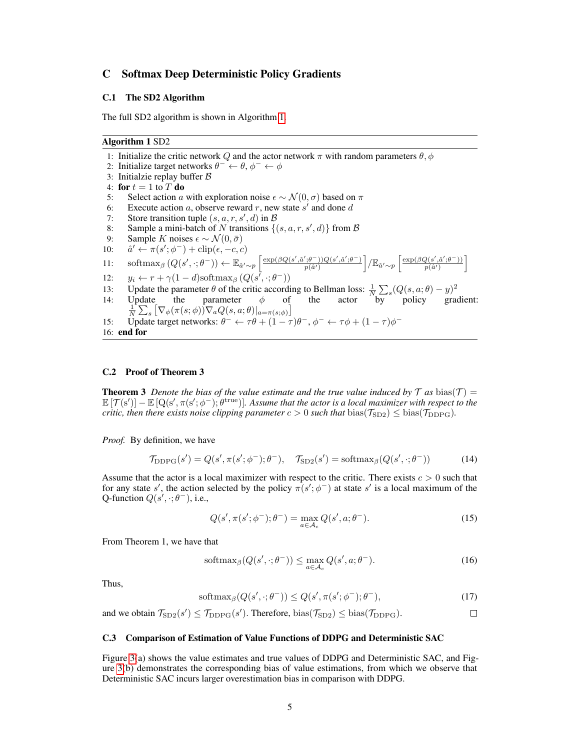# C Softmax Deep Deterministic Policy Gradients

#### C.1 The SD2 Algorithm

The full SD2 algorithm is shown in Algorithm [1.](#page-4-0)

# <span id="page-4-0"></span>Algorithm 1 SD2

1: Initialize the critic network Q and the actor network  $\pi$  with random parameters  $\theta$ ,  $\phi$ 2: Initialize target networks  $\theta^- \leftarrow \theta, \phi^- \leftarrow \phi$ 3: Initialzie replay buffer B 4: for  $t = 1$  to  $T$  do 5: Select action a with exploration noise  $\epsilon \sim \mathcal{N}(0, \sigma)$  based on  $\pi$ 6: Execute action a, observe reward r, new state  $s'$  and done d 7: Store transition tuple  $(s, a, r, s', d)$  in  $\beta$ 8: Sample a mini-batch of N transitions  $\{(s, a, r, s', d)\}$  from B 9: Sample K noises  $\epsilon \sim \mathcal{N}(0, \bar{\sigma})$  $10:$  $\gamma' \leftarrow \pi(s'; \phi^{-}) + \text{clip}(\epsilon, -c, c)$ 11: softmax<sub>β</sub>  $(Q(s', \cdot; \theta^{-})) \leftarrow \mathbb{E}_{\hat{a}' \sim p} \left[ \frac{\exp(\beta Q(s', \hat{a}', \theta^{-})) Q(s', \hat{a}', \theta^{-})}{n(\hat{a}')}\right]$  $\left[\frac{\phi^-(\beta^+)(Q(s',\hat a';\theta^-))}{p(\hat a')} \right] / \mathbb{E}_{\hat a'\sim p} \left[ \frac{\exp(\beta Q(s',\hat a';\theta^-))}{p(\hat a')} \right]$  $\frac{Q(s',\hat{a}';\theta^-))}{p(\hat{a}')}\bigg[$ 12:  $y_i \leftarrow r + \gamma(1 - d) \text{softmax}_{\beta} (Q(s^{\overline{\prime}}, \cdot; \theta^{-}))$ 13: Update the parameter  $\theta$  of the critic according to Bellman loss:  $\frac{1}{N} \sum_{s} (Q(s, a; \theta) - y)^2$ 14: Update the parameter  $\phi$  of the actor by policy gradient:  $\frac{1}{N} \sum_{s} \left[ \nabla_{\phi}(\pi(s; \phi)) \nabla_{a} Q(s, a; \theta) \right]_{a = \pi(s; \phi)} \right]$ 15: Update target networks:  $\theta^- \leftarrow \tau \theta + (1 - \tau) \theta^-, \phi^- \leftarrow \tau \phi + (1 - \tau) \phi^-$ 16: end for

## C.2 Proof of Theorem 3

**Theorem 3** Denote the bias of the value estimate and the true value induced by T as bias(T) =  $\mathbb{E}[\mathcal{T}(s')] - \mathbb{E}[Q(s', \pi(s'; \phi^-); \theta^{\text{true}})].$  Assume that the actor is a local maximizer with respect to the *critic, then there exists noise clipping parameter*  $c > 0$  *such that* bias( $\mathcal{T}_{SD2}$ )  $\leq$  bias( $\mathcal{T}_{DDPG}$ ).

*Proof.* By definition, we have

$$
\mathcal{T}_{\text{DDPG}}(s') = Q(s', \pi(s'; \phi^-); \theta^-), \quad \mathcal{T}_{\text{SD2}}(s') = \text{softmax}_{\beta}(Q(s', \cdot; \theta^-))
$$
\n(14)

Assume that the actor is a local maximizer with respect to the critic. There exists  $c > 0$  such that for any state s', the action selected by the policy  $\pi(s'; \phi^-)$  at state s' is a local maximum of the Q-function  $Q(s', \cdot; \theta^{-})$ , i.e.,

$$
Q(s', \pi(s'; \phi^-); \theta^-) = \max_{a \in \mathcal{A}_c} Q(s', a; \theta^-). \tag{15}
$$

From Theorem 1, we have that

$$
\text{softmax}_{\beta}(Q(s', \cdot; \theta^{-})) \le \max_{a \in \mathcal{A}_{c}} Q(s', a; \theta^{-}). \tag{16}
$$

Thus,

$$
\text{softmax}_{\beta}(Q(s', \cdot; \theta^{-})) \le Q(s', \pi(s'; \phi^{-}); \theta^{-}),\tag{17}
$$

 $\Box$ 

and we obtain  $\mathcal{T}_{SD2}(s') \leq \mathcal{T}_{DDPG}(s')$ . Therefore,  $bias(\mathcal{T}_{SD2}) \leq bias(\mathcal{T}_{DDPG})$ .

#### C.3 Comparison of Estimation of Value Functions of DDPG and Deterministic SAC

Figure [3\(](#page-5-0)a) shows the value estimates and true values of DDPG and Deterministic SAC, and Figure [3\(](#page-5-0)b) demonstrates the corresponding bias of value estimations, from which we observe that Deterministic SAC incurs larger overestimation bias in comparison with DDPG.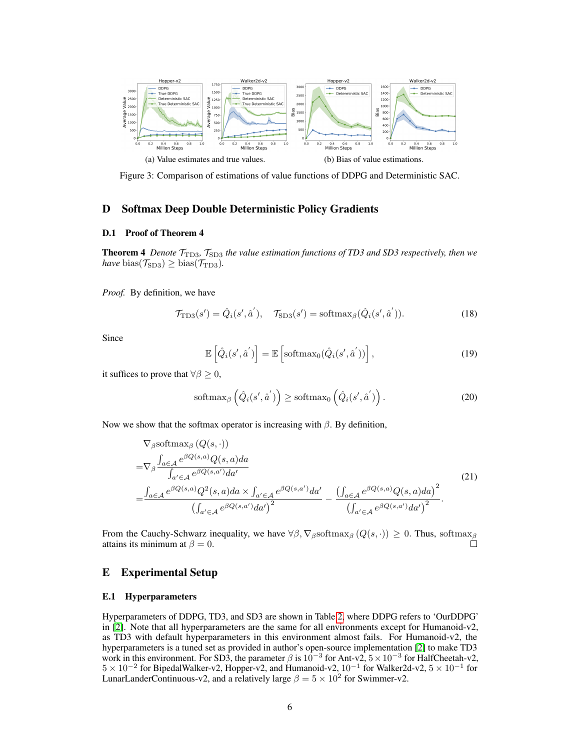<span id="page-5-0"></span>

Figure 3: Comparison of estimations of value functions of DDPG and Deterministic SAC.

# D Softmax Deep Double Deterministic Policy Gradients

### D.1 Proof of Theorem 4

**Theorem 4** *Denote*  $T_{\text{TD3}}$ *,*  $T_{\text{SD3}}$  *the value estimation functions of TD3 and SD3 respectively, then we*  $have \text{ bias}(\mathcal{T}_{SD3}) \geq bias(\mathcal{T}_{TD3}).$ 

*Proof.* By definition, we have

$$
\mathcal{T}_{\text{TD3}}(s') = \hat{Q}_i(s', \hat{a}'), \quad \mathcal{T}_{\text{SD3}}(s') = \text{softmax}_{\beta}(\hat{Q}_i(s', \hat{a}')). \tag{18}
$$

Since

$$
\mathbb{E}\left[\hat{Q}_i(s',\hat{a}')\right] = \mathbb{E}\left[\text{softmax}_0(\hat{Q}_i(s',\hat{a}'))\right],\tag{19}
$$

it suffices to prove that  $\forall \beta \geq 0$ ,

$$
\text{softmax}_{\beta}\left(\hat{Q}_i(s',\hat{a}')\right) \geq \text{softmax}_0\left(\hat{Q}_i(s',\hat{a}')\right). \tag{20}
$$

Now we show that the softmax operator is increasing with  $\beta$ . By definition,

$$
\nabla_{\beta} \text{softmax}_{\beta} (Q(s, \cdot))
$$
\n
$$
= \nabla_{\beta} \frac{\int_{a \in \mathcal{A}} e^{\beta Q(s, a)} Q(s, a) da}{\int_{a' \in \mathcal{A}} e^{\beta Q(s, a')} da'}
$$
\n
$$
= \frac{\int_{a \in \mathcal{A}} e^{\beta Q(s, a)} Q^{2}(s, a) da \times \int_{a' \in \mathcal{A}} e^{\beta Q(s, a')} da'}{\left(\int_{a' \in \mathcal{A}} e^{\beta Q(s, a')} da'\right)^{2}} - \frac{\left(\int_{a \in \mathcal{A}} e^{\beta Q(s, a)} Q(s, a) da\right)^{2}}{\left(\int_{a' \in \mathcal{A}} e^{\beta Q(s, a')} da'\right)^{2}}.
$$
\n(21)

From the Cauchy-Schwarz inequality, we have  $\forall \beta, \nabla_{\beta}$ softmax<sub>β</sub> ( $Q(s, \cdot)$ ) ≥ 0. Thus, softmax<sub>β</sub> attains its minimum at  $\beta = 0$ .  $\Box$ 

# E Experimental Setup

#### E.1 Hyperparameters

Hyperparameters of DDPG, TD3, and SD3 are shown in Table [2,](#page-6-4) where DDPG refers to 'OurDDPG' in [\[2\]](#page-6-6). Note that all hyperparameters are the same for all environments except for Humanoid-v2, as TD3 with default hyperparameters in this environment almost fails. For Humanoid-v2, the hyperparameters is a tuned set as provided in author's open-source implementation [\[2\]](#page-6-6) to make TD3 work in this environment. For SD3, the parameter  $\beta$  is  $10^{-3}$  for Ant-v2,  $5 \times 10^{-3}$  for HalfCheetah-v2,  $5 \times 10^{-2}$  for BipedalWalker-v2, Hopper-v2, and Humanoid-v2,  $10^{-1}$  for Walker2d-v2,  $5 \times 10^{-1}$  for LunarLanderContinuous-v2, and a relatively large  $\beta = 5 \times 10^2$  for Swimmer-v2.